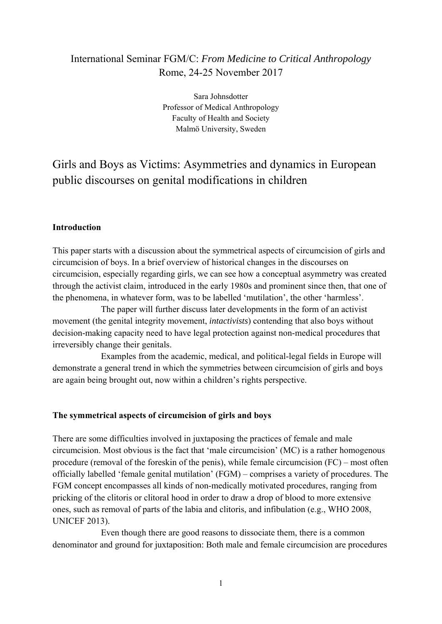# International Seminar FGM/C: *From Medicine to Critical Anthropology* Rome, 24-25 November 2017

Sara Johnsdotter Professor of Medical Anthropology Faculty of Health and Society Malmö University, Sweden

# Girls and Boys as Victims: Asymmetries and dynamics in European public discourses on genital modifications in children

## **Introduction**

This paper starts with a discussion about the symmetrical aspects of circumcision of girls and circumcision of boys. In a brief overview of historical changes in the discourses on circumcision, especially regarding girls, we can see how a conceptual asymmetry was created through the activist claim, introduced in the early 1980s and prominent since then, that one of the phenomena, in whatever form, was to be labelled 'mutilation', the other 'harmless'.

 The paper will further discuss later developments in the form of an activist movement (the genital integrity movement, *intactivists*) contending that also boys without decision-making capacity need to have legal protection against non-medical procedures that irreversibly change their genitals.

 Examples from the academic, medical, and political-legal fields in Europe will demonstrate a general trend in which the symmetries between circumcision of girls and boys are again being brought out, now within a children's rights perspective.

#### **The symmetrical aspects of circumcision of girls and boys**

There are some difficulties involved in juxtaposing the practices of female and male circumcision. Most obvious is the fact that 'male circumcision' (MC) is a rather homogenous procedure (removal of the foreskin of the penis), while female circumcision (FC) – most often officially labelled 'female genital mutilation' (FGM) – comprises a variety of procedures. The FGM concept encompasses all kinds of non-medically motivated procedures, ranging from pricking of the clitoris or clitoral hood in order to draw a drop of blood to more extensive ones, such as removal of parts of the labia and clitoris, and infibulation (e.g., WHO 2008, UNICEF 2013).

Even though there are good reasons to dissociate them, there is a common denominator and ground for juxtaposition: Both male and female circumcision are procedures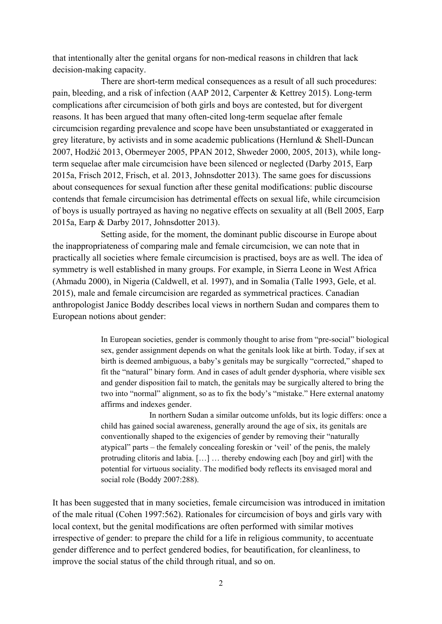that intentionally alter the genital organs for non-medical reasons in children that lack decision-making capacity.

There are short-term medical consequences as a result of all such procedures: pain, bleeding, and a risk of infection (AAP 2012, Carpenter & Kettrey 2015). Long-term complications after circumcision of both girls and boys are contested, but for divergent reasons. It has been argued that many often-cited long-term sequelae after female circumcision regarding prevalence and scope have been unsubstantiated or exaggerated in grey literature, by activists and in some academic publications (Hernlund & Shell-Duncan 2007, Hodžić 2013, Obermeyer 2005, PPAN 2012, Shweder 2000, 2005, 2013), while longterm sequelae after male circumcision have been silenced or neglected (Darby 2015, Earp 2015a, Frisch 2012, Frisch, et al. 2013, Johnsdotter 2013). The same goes for discussions about consequences for sexual function after these genital modifications: public discourse contends that female circumcision has detrimental effects on sexual life, while circumcision of boys is usually portrayed as having no negative effects on sexuality at all (Bell 2005, Earp 2015a, Earp & Darby 2017, Johnsdotter 2013).

Setting aside, for the moment, the dominant public discourse in Europe about the inappropriateness of comparing male and female circumcision, we can note that in practically all societies where female circumcision is practised, boys are as well. The idea of symmetry is well established in many groups. For example, in Sierra Leone in West Africa (Ahmadu 2000), in Nigeria (Caldwell, et al. 1997), and in Somalia (Talle 1993, Gele, et al. 2015), male and female circumcision are regarded as symmetrical practices. Canadian anthropologist Janice Boddy describes local views in northern Sudan and compares them to European notions about gender:

> In European societies, gender is commonly thought to arise from "pre-social" biological sex, gender assignment depends on what the genitals look like at birth. Today, if sex at birth is deemed ambiguous, a baby's genitals may be surgically "corrected," shaped to fit the "natural" binary form. And in cases of adult gender dysphoria, where visible sex and gender disposition fail to match, the genitals may be surgically altered to bring the two into "normal" alignment, so as to fix the body's "mistake." Here external anatomy affirms and indexes gender.

> In northern Sudan a similar outcome unfolds, but its logic differs: once a child has gained social awareness, generally around the age of six, its genitals are conventionally shaped to the exigencies of gender by removing their "naturally atypical" parts – the femalely concealing foreskin or 'veil' of the penis, the malely protruding clitoris and labia. […] … thereby endowing each [boy and girl] with the potential for virtuous sociality. The modified body reflects its envisaged moral and social role (Boddy 2007:288).

It has been suggested that in many societies, female circumcision was introduced in imitation of the male ritual (Cohen 1997:562). Rationales for circumcision of boys and girls vary with local context, but the genital modifications are often performed with similar motives irrespective of gender: to prepare the child for a life in religious community, to accentuate gender difference and to perfect gendered bodies, for beautification, for cleanliness, to improve the social status of the child through ritual, and so on.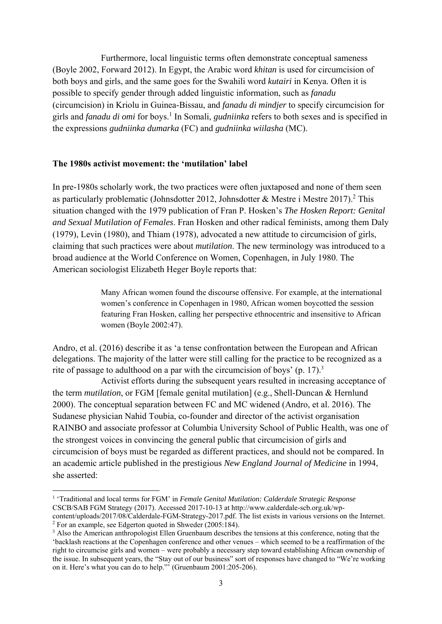Furthermore, local linguistic terms often demonstrate conceptual sameness (Boyle 2002, Forward 2012). In Egypt, the Arabic word *khitan* is used for circumcision of both boys and girls, and the same goes for the Swahili word *kutairi* in Kenya. Often it is possible to specify gender through added linguistic information, such as *fanadu* (circumcision) in Kriolu in Guinea-Bissau, and *fanadu di mindjer* to specify circumcision for girls and *fanadu di omi* for boys.<sup>1</sup> In Somali, *gudniinka* refers to both sexes and is specified in the expressions *gudniinka dumarka* (FC) and *gudniinka wiilasha* (MC).

#### **The 1980s activist movement: the 'mutilation' label**

In pre-1980s scholarly work, the two practices were often juxtaposed and none of them seen as particularly problematic (Johnsdotter 2012, Johnsdotter & Mestre i Mestre 2017).<sup>2</sup> This situation changed with the 1979 publication of Fran P. Hosken's *The Hosken Report: Genital and Sexual Mutilation of Females*. Fran Hosken and other radical feminists, among them Daly (1979), Levin (1980), and Thiam (1978), advocated a new attitude to circumcision of girls, claiming that such practices were about *mutilation*. The new terminology was introduced to a broad audience at the World Conference on Women, Copenhagen, in July 1980. The American sociologist Elizabeth Heger Boyle reports that:

> Many African women found the discourse offensive. For example, at the international women's conference in Copenhagen in 1980, African women boycotted the session featuring Fran Hosken, calling her perspective ethnocentric and insensitive to African women (Boyle 2002:47).

Andro, et al. (2016) describe it as 'a tense confrontation between the European and African delegations. The majority of the latter were still calling for the practice to be recognized as a rite of passage to adulthood on a par with the circumcision of boys' (p. 17).<sup>3</sup>

Activist efforts during the subsequent years resulted in increasing acceptance of the term *mutilation*, or FGM [female genital mutilation] (e.g., Shell-Duncan & Hernlund 2000). The conceptual separation between FC and MC widened (Andro, et al. 2016). The Sudanese physician Nahid Toubia, co-founder and director of the activist organisation RAINBO and associate professor at Columbia University School of Public Health, was one of the strongest voices in convincing the general public that circumcision of girls and circumcision of boys must be regarded as different practices, and should not be compared. In an academic article published in the prestigious *New England Journal of Medicine* in 1994, she asserted:

<sup>&</sup>lt;sup>1</sup> 'Traditional and local terms for FGM' in *Female Genital Mutilation: Calderdale Strategic Response* CSCB/SAB FGM Strategy (2017). Accessed 2017-10-13 at http://www.calderdale-scb.org.uk/wpcontent/uploads/2017/08/Calderdale-FGM-Strategy-2017.pdf. The list exists in various versions on the Internet. 2

 $2$  For an example, see Edgerton quoted in Shweder (2005:184).

<sup>&</sup>lt;sup>3</sup> Also the American anthropologist Ellen Gruenbaum describes the tensions at this conference, noting that the 'backlash reactions at the Copenhagen conference and other venues – which seemed to be a reaffirmation of the right to circumcise girls and women – were probably a necessary step toward establishing African ownership of the issue. In subsequent years, the "Stay out of our business" sort of responses have changed to "We're working on it. Here's what you can do to help."' (Gruenbaum 2001:205-206).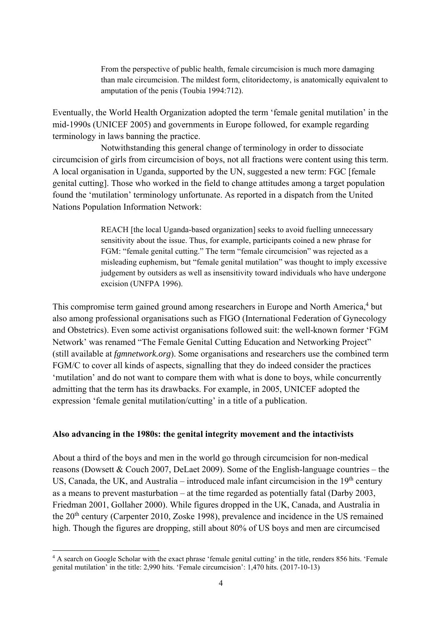From the perspective of public health, female circumcision is much more damaging than male circumcision. The mildest form, clitoridectomy, is anatomically equivalent to amputation of the penis (Toubia 1994:712).

Eventually, the World Health Organization adopted the term 'female genital mutilation' in the mid-1990s (UNICEF 2005) and governments in Europe followed, for example regarding terminology in laws banning the practice.

 Notwithstanding this general change of terminology in order to dissociate circumcision of girls from circumcision of boys, not all fractions were content using this term. A local organisation in Uganda, supported by the UN, suggested a new term: FGC [female genital cutting]. Those who worked in the field to change attitudes among a target population found the 'mutilation' terminology unfortunate. As reported in a dispatch from the United Nations Population Information Network:

> REACH [the local Uganda-based organization] seeks to avoid fuelling unnecessary sensitivity about the issue. Thus, for example, participants coined a new phrase for FGM: "female genital cutting." The term "female circumcision" was rejected as a misleading euphemism, but "female genital mutilation" was thought to imply excessive judgement by outsiders as well as insensitivity toward individuals who have undergone excision (UNFPA 1996).

This compromise term gained ground among researchers in Europe and North America,<sup>4</sup> but also among professional organisations such as FIGO (International Federation of Gynecology and Obstetrics). Even some activist organisations followed suit: the well-known former 'FGM Network' was renamed "The Female Genital Cutting Education and Networking Project" (still available at *fgmnetwork.org*). Some organisations and researchers use the combined term FGM/C to cover all kinds of aspects, signalling that they do indeed consider the practices 'mutilation' and do not want to compare them with what is done to boys, while concurrently admitting that the term has its drawbacks. For example, in 2005, UNICEF adopted the expression 'female genital mutilation/cutting' in a title of a publication.

#### **Also advancing in the 1980s: the genital integrity movement and the intactivists**

About a third of the boys and men in the world go through circumcision for non-medical reasons (Dowsett  $&$  Couch 2007, DeLaet 2009). Some of the English-language countries – the US, Canada, the UK, and Australia – introduced male infant circumcision in the  $19<sup>th</sup>$  century as a means to prevent masturbation – at the time regarded as potentially fatal (Darby 2003, Friedman 2001, Gollaher 2000). While figures dropped in the UK, Canada, and Australia in the 20th century (Carpenter 2010, Zoske 1998), prevalence and incidence in the US remained high. Though the figures are dropping, still about 80% of US boys and men are circumcised

<sup>&</sup>lt;sup>4</sup> A search on Google Scholar with the exact phrase 'female genital cutting' in the title, renders 856 hits. 'Female genital mutilation' in the title: 2,990 hits. 'Female circumcision': 1,470 hits. (2017-10-13)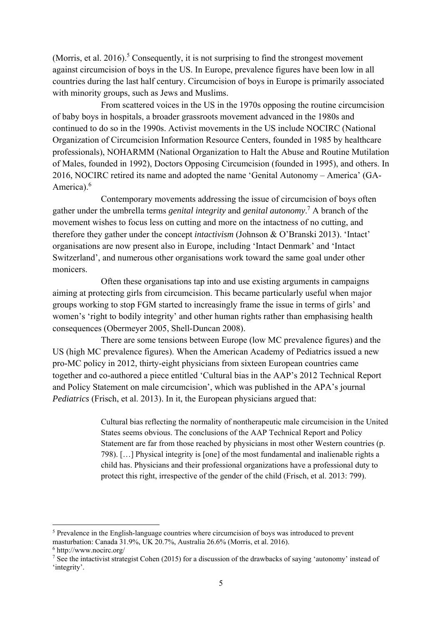(Morris, et al.  $2016$ ).<sup>5</sup> Consequently, it is not surprising to find the strongest movement against circumcision of boys in the US. In Europe, prevalence figures have been low in all countries during the last half century. Circumcision of boys in Europe is primarily associated with minority groups, such as Jews and Muslims.

From scattered voices in the US in the 1970s opposing the routine circumcision of baby boys in hospitals, a broader grassroots movement advanced in the 1980s and continued to do so in the 1990s. Activist movements in the US include NOCIRC (National Organization of Circumcision Information Resource Centers, founded in 1985 by healthcare professionals), NOHARMM (National Organization to Halt the Abuse and Routine Mutilation of Males, founded in 1992), Doctors Opposing Circumcision (founded in 1995), and others. In 2016, NOCIRC retired its name and adopted the name 'Genital Autonomy – America' (GA-America).<sup>6</sup>

Contemporary movements addressing the issue of circumcision of boys often gather under the umbrella terms *genital integrity* and *genital autonomy*. 7 A branch of the movement wishes to focus less on cutting and more on the intactness of no cutting, and therefore they gather under the concept *intactivism* (Johnson & O'Branski 2013). 'Intact' organisations are now present also in Europe, including 'Intact Denmark' and 'Intact Switzerland', and numerous other organisations work toward the same goal under other monicers.

Often these organisations tap into and use existing arguments in campaigns aiming at protecting girls from circumcision. This became particularly useful when major groups working to stop FGM started to increasingly frame the issue in terms of girls' and women's 'right to bodily integrity' and other human rights rather than emphasising health consequences (Obermeyer 2005, Shell-Duncan 2008).

There are some tensions between Europe (low MC prevalence figures) and the US (high MC prevalence figures). When the American Academy of Pediatrics issued a new pro-MC policy in 2012, thirty-eight physicians from sixteen European countries came together and co-authored a piece entitled 'Cultural bias in the AAP's 2012 Technical Report and Policy Statement on male circumcision', which was published in the APA's journal *Pediatrics* (Frisch, et al. 2013). In it, the European physicians argued that:

> Cultural bias reflecting the normality of nontherapeutic male circumcision in the United States seems obvious. The conclusions of the AAP Technical Report and Policy Statement are far from those reached by physicians in most other Western countries (p. 798). […] Physical integrity is [one] of the most fundamental and inalienable rights a child has. Physicians and their professional organizations have a professional duty to protect this right, irrespective of the gender of the child (Frisch, et al. 2013: 799).

<sup>&</sup>lt;sup>5</sup> Prevalence in the English-language countries where circumcision of boys was introduced to prevent masturbation: Canada 31.9%, UK 20.7%, Australia 26.6% (Morris, et al. 2016).

<sup>6</sup> http://www.nocirc.org/

<sup>&</sup>lt;sup>7</sup> See the intactivist strategist Cohen (2015) for a discussion of the drawbacks of saying 'autonomy' instead of 'integrity'.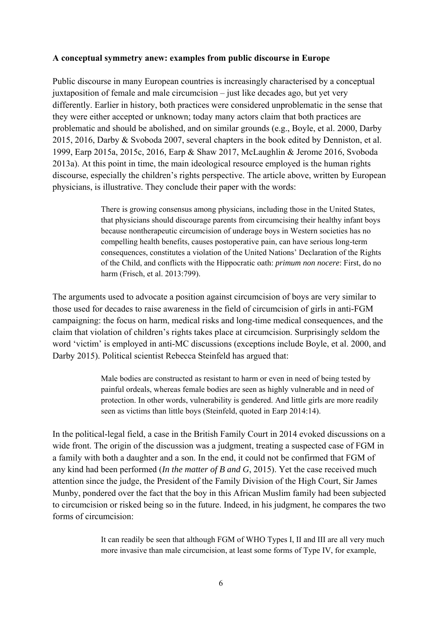### **A conceptual symmetry anew: examples from public discourse in Europe**

Public discourse in many European countries is increasingly characterised by a conceptual juxtaposition of female and male circumcision – just like decades ago, but yet very differently. Earlier in history, both practices were considered unproblematic in the sense that they were either accepted or unknown; today many actors claim that both practices are problematic and should be abolished, and on similar grounds (e.g., Boyle, et al. 2000, Darby 2015, 2016, Darby & Svoboda 2007, several chapters in the book edited by Denniston, et al. 1999, Earp 2015a, 2015c, 2016, Earp & Shaw 2017, McLaughlin & Jerome 2016, Svoboda 2013a). At this point in time, the main ideological resource employed is the human rights discourse, especially the children's rights perspective. The article above, written by European physicians, is illustrative. They conclude their paper with the words:

> There is growing consensus among physicians, including those in the United States, that physicians should discourage parents from circumcising their healthy infant boys because nontherapeutic circumcision of underage boys in Western societies has no compelling health benefits, causes postoperative pain, can have serious long-term consequences, constitutes a violation of the United Nations' Declaration of the Rights of the Child, and conflicts with the Hippocratic oath: *primum non nocere*: First, do no harm (Frisch, et al. 2013:799).

The arguments used to advocate a position against circumcision of boys are very similar to those used for decades to raise awareness in the field of circumcision of girls in anti-FGM campaigning: the focus on harm, medical risks and long-time medical consequences, and the claim that violation of children's rights takes place at circumcision. Surprisingly seldom the word 'victim' is employed in anti-MC discussions (exceptions include Boyle, et al. 2000, and Darby 2015). Political scientist Rebecca Steinfeld has argued that:

> Male bodies are constructed as resistant to harm or even in need of being tested by painful ordeals, whereas female bodies are seen as highly vulnerable and in need of protection. In other words, vulnerability is gendered. And little girls are more readily seen as victims than little boys (Steinfeld, quoted in Earp 2014:14).

In the political-legal field, a case in the British Family Court in 2014 evoked discussions on a wide front. The origin of the discussion was a judgment, treating a suspected case of FGM in a family with both a daughter and a son. In the end, it could not be confirmed that FGM of any kind had been performed (*In the matter of B and G*, 2015). Yet the case received much attention since the judge, the President of the Family Division of the High Court, Sir James Munby, pondered over the fact that the boy in this African Muslim family had been subjected to circumcision or risked being so in the future. Indeed, in his judgment, he compares the two forms of circumcision:

> It can readily be seen that although FGM of WHO Types I, II and III are all very much more invasive than male circumcision, at least some forms of Type IV, for example,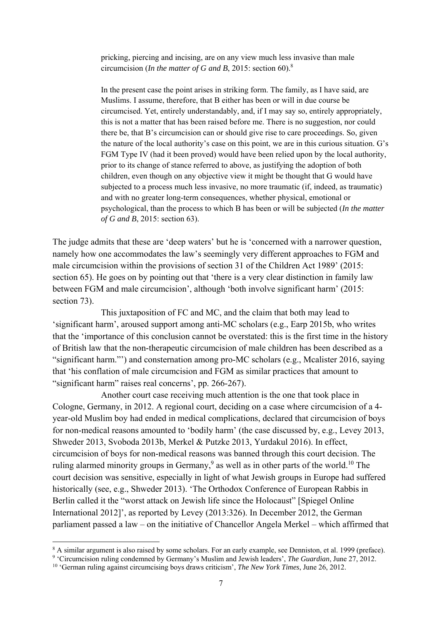pricking, piercing and incising, are on any view much less invasive than male circumcision (*In the matter of G and B*, 2015: section 60).8

In the present case the point arises in striking form. The family, as I have said, are Muslims. I assume, therefore, that B either has been or will in due course be circumcised. Yet, entirely understandably, and, if I may say so, entirely appropriately, this is not a matter that has been raised before me. There is no suggestion, nor could there be, that B's circumcision can or should give rise to care proceedings. So, given the nature of the local authority's case on this point, we are in this curious situation. G's FGM Type IV (had it been proved) would have been relied upon by the local authority, prior to its change of stance referred to above, as justifying the adoption of both children, even though on any objective view it might be thought that G would have subjected to a process much less invasive, no more traumatic (if, indeed, as traumatic) and with no greater long-term consequences, whether physical, emotional or psychological, than the process to which B has been or will be subjected (*In the matter of G and B*, 2015: section 63).

The judge admits that these are 'deep waters' but he is 'concerned with a narrower question, namely how one accommodates the law's seemingly very different approaches to FGM and male circumcision within the provisions of section 31 of the Children Act 1989' (2015: section 65). He goes on by pointing out that 'there is a very clear distinction in family law between FGM and male circumcision', although 'both involve significant harm' (2015: section 73).

 This juxtaposition of FC and MC, and the claim that both may lead to 'significant harm', aroused support among anti-MC scholars (e.g., Earp 2015b, who writes that the 'importance of this conclusion cannot be overstated: this is the first time in the history of British law that the non-therapeutic circumcision of male children has been described as a "significant harm."') and consternation among pro-MC scholars (e.g., Mcalister 2016, saying that 'his conflation of male circumcision and FGM as similar practices that amount to "significant harm" raises real concerns', pp. 266-267).

 Another court case receiving much attention is the one that took place in Cologne, Germany, in 2012. A regional court, deciding on a case where circumcision of a 4 year-old Muslim boy had ended in medical complications, declared that circumcision of boys for non-medical reasons amounted to 'bodily harm' (the case discussed by, e.g., Levey 2013, Shweder 2013, Svoboda 2013b, Merkel & Putzke 2013, Yurdakul 2016). In effect, circumcision of boys for non-medical reasons was banned through this court decision. The ruling alarmed minority groups in Germany,<sup>9</sup> as well as in other parts of the world.<sup>10</sup> The court decision was sensitive, especially in light of what Jewish groups in Europe had suffered historically (see, e.g., Shweder 2013). 'The Orthodox Conference of European Rabbis in Berlin called it the "worst attack on Jewish life since the Holocaust" [Spiegel Online International 2012]', as reported by Levey (2013:326). In December 2012, the German parliament passed a law – on the initiative of Chancellor Angela Merkel – which affirmed that

<sup>&</sup>lt;sup>8</sup> A similar argument is also raised by some scholars. For an early example, see Denniston, et al. 1999 (preface).

<sup>9</sup> 'Circumcision ruling condemned by Germany's Muslim and Jewish leaders', *The Guardian*, June 27, 2012.

<sup>10 &#</sup>x27;German ruling against circumcising boys draws criticism', *The New York Times*, June 26, 2012.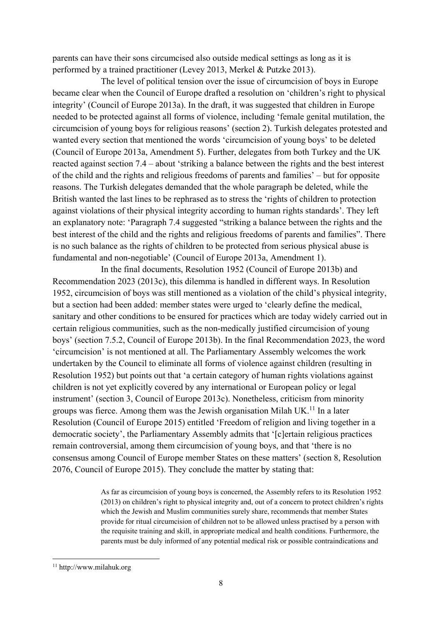parents can have their sons circumcised also outside medical settings as long as it is performed by a trained practitioner (Levey 2013, Merkel & Putzke 2013).

 The level of political tension over the issue of circumcision of boys in Europe became clear when the Council of Europe drafted a resolution on 'children's right to physical integrity' (Council of Europe 2013a). In the draft, it was suggested that children in Europe needed to be protected against all forms of violence, including 'female genital mutilation, the circumcision of young boys for religious reasons' (section 2). Turkish delegates protested and wanted every section that mentioned the words 'circumcision of young boys' to be deleted (Council of Europe 2013a, Amendment 5). Further, delegates from both Turkey and the UK reacted against section 7.4 – about 'striking a balance between the rights and the best interest of the child and the rights and religious freedoms of parents and families' – but for opposite reasons. The Turkish delegates demanded that the whole paragraph be deleted, while the British wanted the last lines to be rephrased as to stress the 'rights of children to protection against violations of their physical integrity according to human rights standards'. They left an explanatory note: 'Paragraph 7.4 suggested "striking a balance between the rights and the best interest of the child and the rights and religious freedoms of parents and families". There is no such balance as the rights of children to be protected from serious physical abuse is fundamental and non-negotiable' (Council of Europe 2013a, Amendment 1).

 In the final documents, Resolution 1952 (Council of Europe 2013b) and Recommendation 2023 (2013c), this dilemma is handled in different ways. In Resolution 1952, circumcision of boys was still mentioned as a violation of the child's physical integrity, but a section had been added: member states were urged to 'clearly define the medical, sanitary and other conditions to be ensured for practices which are today widely carried out in certain religious communities, such as the non-medically justified circumcision of young boys' (section 7.5.2, Council of Europe 2013b). In the final Recommendation 2023, the word 'circumcision' is not mentioned at all. The Parliamentary Assembly welcomes the work undertaken by the Council to eliminate all forms of violence against children (resulting in Resolution 1952) but points out that 'a certain category of human rights violations against children is not yet explicitly covered by any international or European policy or legal instrument' (section 3, Council of Europe 2013c). Nonetheless, criticism from minority groups was fierce. Among them was the Jewish organisation Milah  $UK<sup>11</sup>$  In a later Resolution (Council of Europe 2015) entitled 'Freedom of religion and living together in a democratic society', the Parliamentary Assembly admits that '[c]ertain religious practices remain controversial, among them circumcision of young boys, and that 'there is no consensus among Council of Europe member States on these matters' (section 8, Resolution 2076, Council of Europe 2015). They conclude the matter by stating that:

> As far as circumcision of young boys is concerned, the Assembly refers to its Resolution 1952 (2013) on children's right to physical integrity and, out of a concern to protect children's rights which the Jewish and Muslim communities surely share, recommends that member States provide for ritual circumcision of children not to be allowed unless practised by a person with the requisite training and skill, in appropriate medical and health conditions. Furthermore, the parents must be duly informed of any potential medical risk or possible contraindications and

<sup>11</sup> http://www.milahuk.org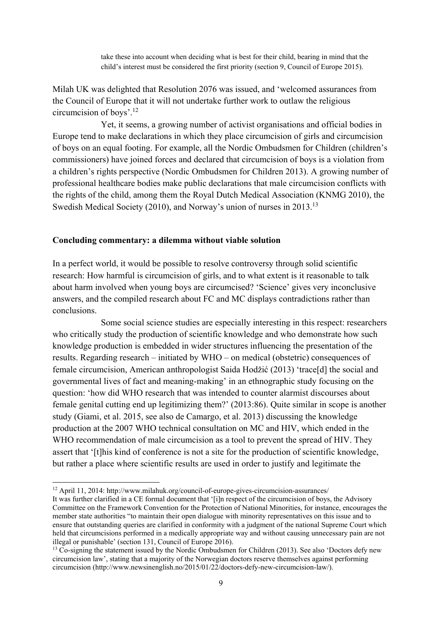take these into account when deciding what is best for their child, bearing in mind that the child's interest must be considered the first priority (section 9, Council of Europe 2015).

Milah UK was delighted that Resolution 2076 was issued, and 'welcomed assurances from the Council of Europe that it will not undertake further work to outlaw the religious circumcision of boys'.12

Yet, it seems, a growing number of activist organisations and official bodies in Europe tend to make declarations in which they place circumcision of girls and circumcision of boys on an equal footing. For example, all the Nordic Ombudsmen for Children (children's commissioners) have joined forces and declared that circumcision of boys is a violation from a children's rights perspective (Nordic Ombudsmen for Children 2013). A growing number of professional healthcare bodies make public declarations that male circumcision conflicts with the rights of the child, among them the Royal Dutch Medical Association (KNMG 2010), the Swedish Medical Society (2010), and Norway's union of nurses in 2013.<sup>13</sup>

#### **Concluding commentary: a dilemma without viable solution**

In a perfect world, it would be possible to resolve controversy through solid scientific research: How harmful is circumcision of girls, and to what extent is it reasonable to talk about harm involved when young boys are circumcised? 'Science' gives very inconclusive answers, and the compiled research about FC and MC displays contradictions rather than conclusions.

 Some social science studies are especially interesting in this respect: researchers who critically study the production of scientific knowledge and who demonstrate how such knowledge production is embedded in wider structures influencing the presentation of the results. Regarding research – initiated by WHO – on medical (obstetric) consequences of female circumcision, American anthropologist Saida Hodžić (2013) 'trace[d] the social and governmental lives of fact and meaning-making' in an ethnographic study focusing on the question: 'how did WHO research that was intended to counter alarmist discourses about female genital cutting end up legitimizing them?' (2013:86). Quite similar in scope is another study (Giami, et al. 2015, see also de Camargo, et al. 2013) discussing the knowledge production at the 2007 WHO technical consultation on MC and HIV, which ended in the WHO recommendation of male circumcision as a tool to prevent the spread of HIV. They assert that '[t]his kind of conference is not a site for the production of scientific knowledge, but rather a place where scientific results are used in order to justify and legitimate the

 12 April 11, 2014: http://www.milahuk.org/council-of-europe-gives-circumcision-assurances/

It was further clarified in a CE formal document that '[i]n respect of the circumcision of boys, the Advisory Committee on the Framework Convention for the Protection of National Minorities, for instance, encourages the member state authorities "to maintain their open dialogue with minority representatives on this issue and to ensure that outstanding queries are clarified in conformity with a judgment of the national Supreme Court which held that circumcisions performed in a medically appropriate way and without causing unnecessary pain are not illegal or punishable' (section 131, Council of Europe 2016).

<sup>&</sup>lt;sup>13</sup> Co-signing the statement issued by the Nordic Ombudsmen for Children (2013). See also 'Doctors defy new circumcision law', stating that a majority of the Norwegian doctors reserve themselves against performing circumcision (http://www.newsinenglish.no/2015/01/22/doctors-defy-new-circumcision-law/).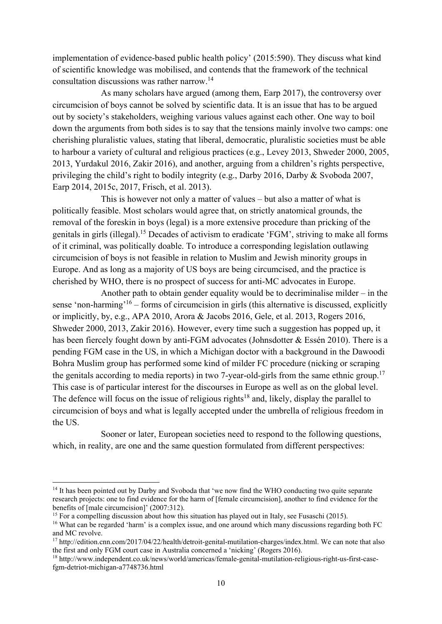implementation of evidence-based public health policy' (2015:590). They discuss what kind of scientific knowledge was mobilised, and contends that the framework of the technical consultation discussions was rather narrow.14

 As many scholars have argued (among them, Earp 2017), the controversy over circumcision of boys cannot be solved by scientific data. It is an issue that has to be argued out by society's stakeholders, weighing various values against each other. One way to boil down the arguments from both sides is to say that the tensions mainly involve two camps: one cherishing pluralistic values, stating that liberal, democratic, pluralistic societies must be able to harbour a variety of cultural and religious practices (e.g., Levey 2013, Shweder 2000, 2005, 2013, Yurdakul 2016, Zakir 2016), and another, arguing from a children's rights perspective, privileging the child's right to bodily integrity (e.g., Darby 2016, Darby & Svoboda 2007, Earp 2014, 2015c, 2017, Frisch, et al. 2013).

This is however not only a matter of values – but also a matter of what is politically feasible. Most scholars would agree that, on strictly anatomical grounds, the removal of the foreskin in boys (legal) is a more extensive procedure than pricking of the genitals in girls (illegal).15 Decades of activism to eradicate 'FGM', striving to make all forms of it criminal, was politically doable. To introduce a corresponding legislation outlawing circumcision of boys is not feasible in relation to Muslim and Jewish minority groups in Europe. And as long as a majority of US boys are being circumcised, and the practice is cherished by WHO, there is no prospect of success for anti-MC advocates in Europe.

Another path to obtain gender equality would be to decriminalise milder – in the sense 'non-harming'16 – forms of circumcision in girls (this alternative is discussed, explicitly or implicitly, by, e.g., APA 2010, Arora & Jacobs 2016, Gele, et al. 2013, Rogers 2016, Shweder 2000, 2013, Zakir 2016). However, every time such a suggestion has popped up, it has been fiercely fought down by anti-FGM advocates (Johnsdotter & Essén 2010). There is a pending FGM case in the US, in which a Michigan doctor with a background in the Dawoodi Bohra Muslim group has performed some kind of milder FC procedure (nicking or scraping the genitals according to media reports) in two 7-year-old-girls from the same ethnic group.<sup>17</sup> This case is of particular interest for the discourses in Europe as well as on the global level. The defence will focus on the issue of religious rights<sup>18</sup> and, likely, display the parallel to circumcision of boys and what is legally accepted under the umbrella of religious freedom in the US.

Sooner or later, European societies need to respond to the following questions, which, in reality, are one and the same question formulated from different perspectives:

<sup>&</sup>lt;sup>14</sup> It has been pointed out by Darby and Svoboda that 'we now find the WHO conducting two quite separate research projects: one to find evidence for the harm of [female circumcision], another to find evidence for the benefits of [male circumcision]' (2007:312).

<sup>&</sup>lt;sup>15</sup> For a compelling discussion about how this situation has played out in Italy, see Fusaschi (2015).

<sup>16</sup> What can be regarded 'harm' is a complex issue, and one around which many discussions regarding both FC and MC revolve.

<sup>&</sup>lt;sup>17</sup> http://edition.cnn.com/2017/04/22/health/detroit-genital-mutilation-charges/index.html. We can note that also the first and only FGM court case in Australia concerned a 'nicking' (Rogers 2016).

<sup>18</sup> http://www.independent.co.uk/news/world/americas/female-genital-mutilation-religious-right-us-first-casefgm-detriot-michigan-a7748736.html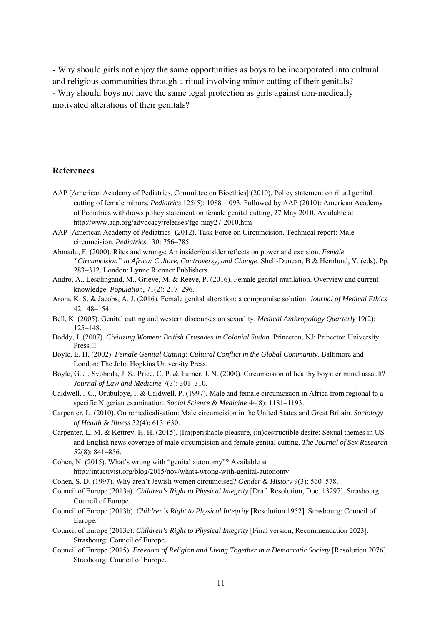- Why should girls not enjoy the same opportunities as boys to be incorporated into cultural and religious communities through a ritual involving minor cutting of their genitals? - Why should boys not have the same legal protection as girls against non-medically motivated alterations of their genitals?

#### **References**

- AAP [American Academy of Pediatrics, Committee on Bioethics] (2010). Policy statement on ritual genital cutting of female minors. *Pediatrics* 125(5): 1088–1093. Followed by AAP (2010): American Academy of Pediatrics withdraws policy statement on female genital cutting, 27 May 2010. Available at http://www.aap.org/advocacy/releases/fgc-may27-2010.htm
- AAP [American Academy of Pediatrics] (2012). Task Force on Circumcision. Technical report: Male circumcision. *Pediatrics* 130: 756–785.
- Ahmadu, F. (2000). Rites and wrongs: An insider/outsider reflects on power and excision. *Female "Circumcision" in Africa: Culture, Controversy, and Change*. Shell-Duncan, B & Hernlund, Y. (eds). Pp. 283–312. London: Lynne Rienner Publishers.
- Andro, A., Lesclingand, M., Grieve, M. & Reeve, P. (2016). Female genital mutilation. Overview and current knowledge. *Population*, 71(2): 217–296.
- Arora, K. S. & Jacobs, A. J. (2016). Female genital alteration: a compromise solution. *Journal of Medical Ethics* 42:148–154.
- Bell, K. (2005). Genital cutting and western discourses on sexuality. *Medical Anthropology Quarterly* 19(2): 125–148.
- Boddy, J. (2007). *Civilizing Women: British Crusades in Colonial Sudan*. Princeton, NJ: Princeton University Press.
- Boyle, E. H. (2002). *Female Genital Cutting: Cultural Conflict in the Global Community.* Baltimore and London: The John Hopkins University Press.
- Boyle, G. J., Svoboda, J. S., Price, C. P. & Turner, J. N. (2000). Circumcision of healthy boys: criminal assault? *Journal of Law and Medicine* 7(3): 301–310.
- Caldwell, J.C., Orubuloye, I. & Caldwell, P. (1997). Male and female circumcision in Africa from regional to a specific Nigerian examination. *Social Science & Medicine* 44(8): 1181–1193.
- Carpenter, L. (2010). On remedicalisation: Male circumcision in the United States and Great Britain. *Sociology of Health & Illness* 32(4): 613–630.
- Carpenter, L. M. & Kettrey, H. H. (2015). (Im)perishable pleasure, (in)destructible desire: Sexual themes in US and English news coverage of male circumcision and female genital cutting. *The Journal of Sex Research* 52(8): 841–856.
- Cohen, N. (2015). What's wrong with "genital autonomy"? Available at http://intactivist.org/blog/2015/nov/whats-wrong-with-genital-autonomy
- Cohen, S. D. (1997). Why aren't Jewish women circumcised? *Gender & History* 9(3): 560–578.
- Council of Europe (2013a). *Children's Right to Physical Integrity* [Draft Resolution, Doc. 13297]. Strasbourg: Council of Europe.
- Council of Europe (2013b). *Children's Right to Physical Integrity* [Resolution 1952]. Strasbourg: Council of Europe.
- Council of Europe (2013c). *Children's Right to Physical Integrity* [Final version, Recommendation 2023]. Strasbourg: Council of Europe.
- Council of Europe (2015). *Freedom of Religion and Living Together in a Democratic Society* [Resolution 2076]. Strasbourg: Council of Europe.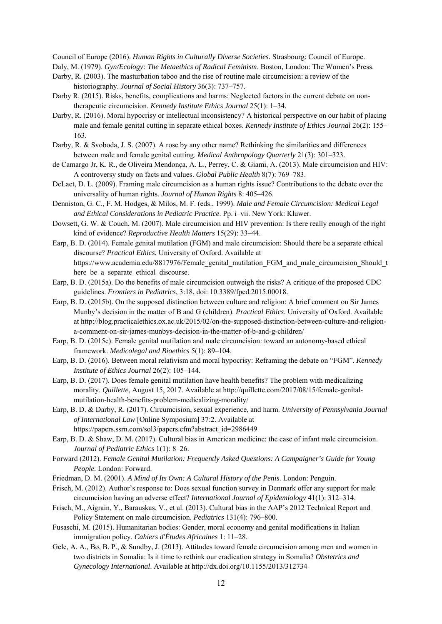Council of Europe (2016). *Human Rights in Culturally Diverse Societies.* Strasbourg: Council of Europe.

Daly, M. (1979). *Gyn/Ecology: The Metaethics of Radical Feminism*. Boston, London: The Women's Press.

- Darby, R. (2003). The masturbation taboo and the rise of routine male circumcision: a review of the historiography. *Journal of Social History* 36(3): 737–757.
- Darby R. (2015). Risks, benefits, complications and harms: Neglected factors in the current debate on nontherapeutic circumcision. *Kennedy Institute Ethics Journal* 25(1): 1–34.
- Darby, R. (2016). Moral hypocrisy or intellectual inconsistency? A historical perspective on our habit of placing male and female genital cutting in separate ethical boxes. *Kennedy Institute of Ethics Journal* 26(2): 155– 163.
- Darby, R. & Svoboda, J. S. (2007). A rose by any other name? Rethinking the similarities and differences between male and female genital cutting. *Medical Anthropology Quarterly* 21(3): 301–323.
- de Camargo Jr, K. R., de Oliveira Mendonça, A. L., Perrey, C. & Giami, A. (2013). Male circumcision and HIV: A controversy study on facts and values. *Global Public Health* 8(7): 769–783.
- DeLaet, D. L. (2009). Framing male circumcision as a human rights issue? Contributions to the debate over the universality of human rights. *Journal of Human Rights* 8: 405–426.
- Denniston, G. C., F. M. Hodges, & Milos, M. F. (eds., 1999). *Male and Female Circumcision: Medical Legal and Ethical Considerations in Pediatric Practice*. Pp. i–vii. New York: Kluwer.
- Dowsett, G. W. & Couch, M. (2007). Male circumcision and HIV prevention: Is there really enough of the right kind of evidence? *Reproductive Health Matters* 15(29): 33–44.
- Earp, B. D. (2014). Female genital mutilation (FGM) and male circumcision: Should there be a separate ethical discourse? *Practical Ethics.* University of Oxford. Available at https://www.academia.edu/8817976/Female\_genital\_mutilation\_FGM\_and\_male\_circumcision\_Should\_t here be a separate ethical discourse.
- Earp, B. D. (2015a). Do the benefits of male circumcision outweigh the risks? A critique of the proposed CDC guidelines. *Frontiers in Pediatrics*, 3:18, doi: 10.3389/fped.2015.00018.
- Earp, B. D. (2015b). On the supposed distinction between culture and religion: A brief comment on Sir James Munby's decision in the matter of B and G (children). *Practical Ethics*. University of Oxford. Available at http://blog.practicalethics.ox.ac.uk/2015/02/on-the-supposed-distinction-between-culture-and-religiona-comment-on-sir-james-munbys-decision-in-the-matter-of-b-and-g-children/
- Earp, B. D. (2015c). Female genital mutilation and male circumcision: toward an autonomy-based ethical framework. *Medicolegal and Bioethics* 5(1): 89–104.
- Earp, B. D. (2016). Between moral relativism and moral hypocrisy: Reframing the debate on "FGM". *Kennedy Institute of Ethics Journal* 26(2): 105–144.
- Earp, B. D. (2017). Does female genital mutilation have health benefits? The problem with medicalizing morality. *Quillette*, August 15, 2017. Available at http://quillette.com/2017/08/15/female-genitalmutilation-health-benefits-problem-medicalizing-morality/
- Earp, B. D. & Darby, R. (2017). Circumcision, sexual experience, and harm. *University of Pennsylvania Journal of International Law* [Online Symposium] 37:2. Available at https://papers.ssrn.com/sol3/papers.cfm?abstract\_id=2986449
- Earp, B. D. & Shaw, D. M. (2017). Cultural bias in American medicine: the case of infant male circumcision. *Journal of Pediatric Ethics* 1(1): 8–26.
- Forward (2012). *Female Genital Mutilation: Frequently Asked Questions: A Campaigner's Guide for Young People.* London: Forward.
- Friedman, D. M. (2001). *A Mind of Its Own: A Cultural History of the Penis*. London: Penguin.
- Frisch, M. (2012). Author's response to: Does sexual function survey in Denmark offer any support for male circumcision having an adverse effect? *International Journal of Epidemiology* 41(1): 312–314.
- Frisch, M., Aigrain, Y., Barauskas, V., et al. (2013). Cultural bias in the AAP's 2012 Technical Report and Policy Statement on male circumcision. *Pediatrics* 131(4): 796–800.
- Fusaschi, M. (2015). Humanitarian bodies: Gender, moral economy and genital modifications in Italian immigration policy. *Cahiers d'Études Africaines* 1: 11–28.
- Gele, A. A., Bø, B. P., & Sundby, J. (2013). Attitudes toward female circumcision among men and women in two districts in Somalia: Is it time to rethink our eradication strategy in Somalia? *Obstetrics and Gynecology International*. Available at http://dx.doi.org/10.1155/2013/312734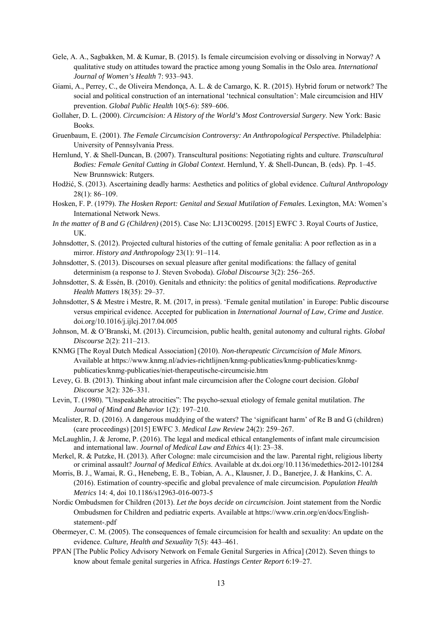- Gele, A. A., Sagbakken, M. & Kumar, B. (2015). Is female circumcision evolving or dissolving in Norway? A qualitative study on attitudes toward the practice among young Somalis in the Oslo area. *International Journal of Women's Health* 7: 933–943.
- Giami, A., Perrey, C., de Oliveira Mendonça, A. L. & de Camargo, K. R. (2015). Hybrid forum or network? The social and political construction of an international 'technical consultation': Male circumcision and HIV prevention. *Global Public Health* 10(5-6): 589–606.
- Gollaher, D. L. (2000). *Circumcision: A History of the World's Most Controversial Surgery*. New York: Basic Books.
- Gruenbaum, E. (2001). *The Female Circumcision Controversy: An Anthropological Perspective.* Philadelphia: University of Pennsylvania Press.
- Hernlund, Y. & Shell-Duncan, B. (2007). Transcultural positions: Negotiating rights and culture. *Transcultural Bodies: Female Genital Cutting in Global Context*. Hernlund, Y. & Shell-Duncan, B. (eds). Pp. 1–45. New Brunnswick: Rutgers.
- Hodžić, S. (2013). Ascertaining deadly harms: Aesthetics and politics of global evidence. *Cultural Anthropology* 28(1): 86–109.
- Hosken, F. P. (1979). *The Hosken Report: Genital and Sexual Mutilation of Females.* Lexington, MA: Women's International Network News.
- *In the matter of B and G (Children)* (2015). Case No: LJ13C00295. [2015] EWFC 3. Royal Courts of Justice,  $I K$
- Johnsdotter, S. (2012). Projected cultural histories of the cutting of female genitalia: A poor reflection as in a mirror. *History and Anthropology* 23(1): 91–114.
- Johnsdotter, S. (2013). Discourses on sexual pleasure after genital modifications: the fallacy of genital determinism (a response to J. Steven Svoboda). *Global Discourse* 3(2): 256–265.
- Johnsdotter, S. & Essén, B. (2010). Genitals and ethnicity: the politics of genital modifications. *Reproductive Health Matters* 18(35): 29–37.
- Johnsdotter, S & Mestre i Mestre, R. M. (2017, in press). 'Female genital mutilation' in Europe: Public discourse versus empirical evidence. Accepted for publication in *International Journal of Law, Crime and Justice*. doi.org/10.1016/j.ijlcj.2017.04.005
- Johnson, M. & O'Branski, M. (2013). Circumcision, public health, genital autonomy and cultural rights. *Global Discourse* 2(2): 211–213.
- KNMG [The Royal Dutch Medical Association] (2010). *Non-therapeutic Circumcision of Male Minors.* Available at https://www.knmg.nl/advies-richtlijnen/knmg-publicaties/knmg-publicaties/knmgpublicaties/knmg-publicaties/niet-therapeutische-circumcisie.htm
- Levey, G. B. (2013). Thinking about infant male circumcision after the Cologne court decision. *Global Discourse* 3(2): 326–331.
- Levin, T. (1980). "Unspeakable atrocities": The psycho-sexual etiology of female genital mutilation. *The Journal of Mind and Behavior* 1(2): 197–210.
- Mcalister, R. D. (2016). A dangerous muddying of the waters? The 'significant harm' of Re B and G (children) (care proceedings) [2015] EWFC 3. *Medical Law Review* 24(2): 259–267.
- McLaughlin, J. & Jerome, P. (2016). The legal and medical ethical entanglements of infant male circumcision and international law. *Journal of Medical Law and Ethics* 4(1): 23–38.
- Merkel, R. & Putzke, H. (2013). After Cologne: male circumcision and the law. Parental right, religious liberty or criminal assault? *Journal of Medical Ethics*. Available at dx.doi.org/10.1136/medethics-2012-101284
- Morris, B. J., Wamai, R. G., Henebeng, E. B., Tobian, A. A., Klausner, J. D., Banerjee, J. & Hankins, C. A. (2016). Estimation of country-specific and global prevalence of male circumcision. *Population Health Metrics* 14: 4, doi 10.1186/s12963-016-0073-5
- Nordic Ombudsmen for Children (2013). *Let the boys decide on circumcision*. Joint statement from the Nordic Ombudsmen for Children and pediatric experts. Available at https://www.crin.org/en/docs/Englishstatement-.pdf
- Obermeyer, C. M. (2005). The consequences of female circumcision for health and sexuality: An update on the evidence. *Culture, Health and Sexuality* 7(5): 443–461.
- PPAN [The Public Policy Advisory Network on Female Genital Surgeries in Africa] (2012). Seven things to know about female genital surgeries in Africa. *Hastings Center Report* 6:19–27.